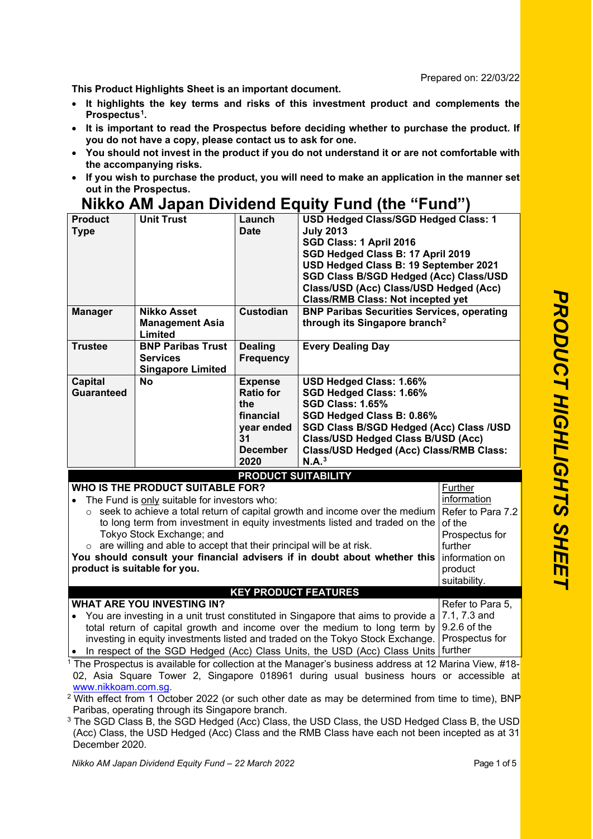Prepared on: 22/03/22

**This Product Highlights Sheet is an important document.** 

- **It highlights the key terms and risks of this investment product and complements the Prospectus[1.](#page-0-0)**
- **It is important to read the Prospectus before deciding whether to purchase the product. If you do not have a copy, please contact us to ask for one.**
- **You should not invest in the product if you do not understand it or are not comfortable with the accompanying risks.**
- **If you wish to purchase the product, you will need to make an application in the manner set out in the Prospectus.**

## **Nikko AM Japan Dividend Equity Fund (the "Fund")**

| <b>Product</b><br>Type       | <b>Unit Trust</b>                                                       | Launch<br><b>Date</b>                                                                                                               | USD Hedged Class/SGD Hedged Class: 1<br><b>July 2013</b><br>SGD Class: 1 April 2016<br>SGD Hedged Class B: 17 April 2019<br>USD Hedged Class B: 19 September 2021<br><b>SGD Class B/SGD Hedged (Acc) Class/USD</b><br>Class/USD (Acc) Class/USD Hedged (Acc)<br><b>Class/RMB Class: Not incepted yet</b> |
|------------------------------|-------------------------------------------------------------------------|-------------------------------------------------------------------------------------------------------------------------------------|----------------------------------------------------------------------------------------------------------------------------------------------------------------------------------------------------------------------------------------------------------------------------------------------------------|
| <b>Manager</b>               | Nikko Asset<br><b>Management Asia</b><br>Limited                        | <b>Custodian</b>                                                                                                                    | <b>BNP Paribas Securities Services, operating</b><br>through its Singapore branch <sup>2</sup>                                                                                                                                                                                                           |
| <b>Trustee</b>               | <b>BNP Paribas Trust</b><br><b>Services</b><br><b>Singapore Limited</b> | <b>Dealing</b><br><b>Frequency</b>                                                                                                  | <b>Every Dealing Day</b>                                                                                                                                                                                                                                                                                 |
| <b>Capital</b><br>Guaranteed | No                                                                      | <b>Expense</b><br><b>Ratio for</b><br>the<br>financial<br>year ended<br>31<br><b>December</b><br>2020<br><b>DRODUCT SUITARILITY</b> | USD Hedged Class: 1.66%<br>SGD Hedged Class: 1.66%<br><b>SGD Class: 1.65%</b><br>SGD Hedged Class B: 0.86%<br><b>SGD Class B/SGD Hedged (Acc) Class /USD</b><br><b>Class/USD Hedged Class B/USD (Acc)</b><br>Class/USD Hedged (Acc) Class/RMB Class:<br>N.A. <sup>3</sup>                                |

**PRODUCT SUITABILITY**

|  |  |  |  |  | WHO IS THE PRODUCT SUITABLE FOR?             |  |
|--|--|--|--|--|----------------------------------------------|--|
|  |  |  |  |  | The Fund is only suitable for investors who: |  |

| • The Fund is only suitable for investors who:                                                        | information    |
|-------------------------------------------------------------------------------------------------------|----------------|
| $\circ$ seek to achieve a total return of capital growth and income over the medium Refer to Para 7.2 |                |
| to long term from investment in equity investments listed and traded on the of the                    |                |
| Tokyo Stock Exchange; and                                                                             | Prospectus for |
| $\circ$ are willing and able to accept that their principal will be at risk.                          | further        |
| You should consult your financial advisers if in doubt about whether this information on              |                |
| product is suitable for you.                                                                          | product        |
|                                                                                                       | suitability.   |

**KEY PRODUCT FEATURES**

**WHAT ARE YOU INVESTING IN?**  • You are investing in a unit trust constituted in Singapore that aims to provide a total return of capital growth and income over the medium to long term by 9.2.6 of the investing in equity investments listed and traded on the Tokyo Stock Exchange. Prospectus for Refer to Para 5, 7.1, 7.3 and

• In respect of the SGD Hedged (Acc) Class Units, the USD (Acc) Class Units further

<span id="page-0-0"></span> $1$  The Prospectus is available for collection at the Manager's business address at 12 Marina View, #18-02, Asia Square Tower 2, Singapore 018961 during usual business hours or accessible at

<span id="page-0-1"></span>www.nikkoam.com.sg.<br><sup>2</sup> With effect from 1 October 2022 (or such other date as may be determined from time to time), BNP Paribas, operating through its Singapore branch.

<span id="page-0-2"></span><sup>3</sup> The SGD Class B, the SGD Hedged (Acc) Class, the USD Class, the USD Hedged Class B, the USD (Acc) Class, the USD Hedged (Acc) Class and the RMB Class have each not been incepted as at 31 December 2020.

**Further**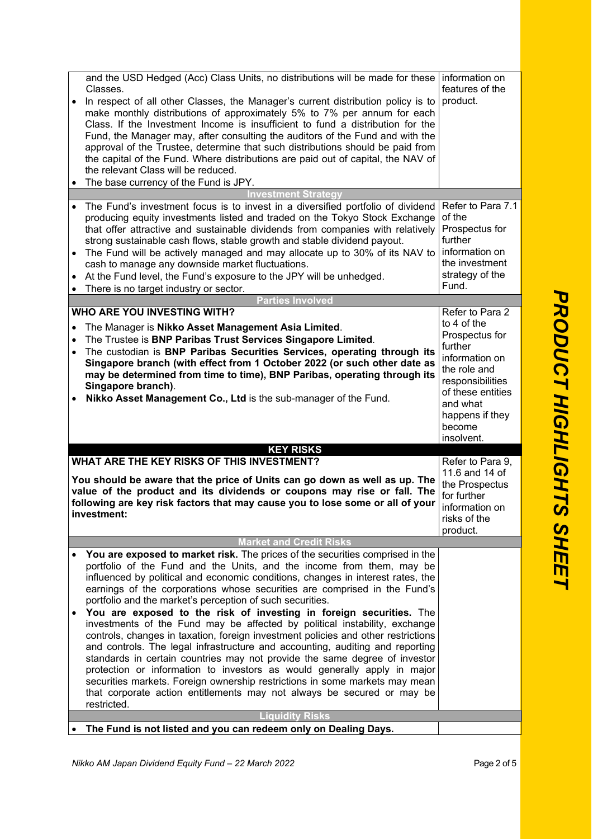|           | and the USD Hedged (Acc) Class Units, no distributions will be made for these information on<br>Classes.<br>In respect of all other Classes, the Manager's current distribution policy is to<br>make monthly distributions of approximately 5% to 7% per annum for each<br>Class. If the Investment Income is insufficient to fund a distribution for the<br>Fund, the Manager may, after consulting the auditors of the Fund and with the<br>approval of the Trustee, determine that such distributions should be paid from<br>the capital of the Fund. Where distributions are paid out of capital, the NAV of<br>the relevant Class will be reduced.<br>The base currency of the Fund is JPY.                                                                                                                                                                                                                                                                                                                                                 | features of the<br>product.                                                                                                                                                                   |
|-----------|--------------------------------------------------------------------------------------------------------------------------------------------------------------------------------------------------------------------------------------------------------------------------------------------------------------------------------------------------------------------------------------------------------------------------------------------------------------------------------------------------------------------------------------------------------------------------------------------------------------------------------------------------------------------------------------------------------------------------------------------------------------------------------------------------------------------------------------------------------------------------------------------------------------------------------------------------------------------------------------------------------------------------------------------------|-----------------------------------------------------------------------------------------------------------------------------------------------------------------------------------------------|
|           | vestment Strategy                                                                                                                                                                                                                                                                                                                                                                                                                                                                                                                                                                                                                                                                                                                                                                                                                                                                                                                                                                                                                                |                                                                                                                                                                                               |
|           | The Fund's investment focus is to invest in a diversified portfolio of dividend<br>producing equity investments listed and traded on the Tokyo Stock Exchange<br>that offer attractive and sustainable dividends from companies with relatively<br>strong sustainable cash flows, stable growth and stable dividend payout.<br>The Fund will be actively managed and may allocate up to 30% of its NAV to<br>cash to manage any downside market fluctuations.<br>At the Fund level, the Fund's exposure to the JPY will be unhedged.<br>There is no target industry or sector.                                                                                                                                                                                                                                                                                                                                                                                                                                                                   | Refer to Para 7.1<br>of the<br>Prospectus for<br>further<br>information on<br>the investment<br>strategy of the<br>Fund.                                                                      |
|           | <b>Parties Involved</b>                                                                                                                                                                                                                                                                                                                                                                                                                                                                                                                                                                                                                                                                                                                                                                                                                                                                                                                                                                                                                          |                                                                                                                                                                                               |
| $\bullet$ | <b>WHO ARE YOU INVESTING WITH?</b><br>The Manager is Nikko Asset Management Asia Limited.<br>The Trustee is BNP Paribas Trust Services Singapore Limited.<br>The custodian is BNP Paribas Securities Services, operating through its<br>Singapore branch (with effect from 1 October 2022 (or such other date as<br>may be determined from time to time), BNP Paribas, operating through its<br>Singapore branch).<br>Nikko Asset Management Co., Ltd is the sub-manager of the Fund.                                                                                                                                                                                                                                                                                                                                                                                                                                                                                                                                                            | Refer to Para 2<br>to 4 of the<br>Prospectus for<br>further<br>information on<br>the role and<br>responsibilities<br>of these entities<br>and what<br>happens if they<br>become<br>insolvent. |
|           | <b>KEY RISKS</b>                                                                                                                                                                                                                                                                                                                                                                                                                                                                                                                                                                                                                                                                                                                                                                                                                                                                                                                                                                                                                                 |                                                                                                                                                                                               |
|           | WHAT ARE THE KEY RISKS OF THIS INVESTMENT?                                                                                                                                                                                                                                                                                                                                                                                                                                                                                                                                                                                                                                                                                                                                                                                                                                                                                                                                                                                                       | Refer to Para 9,                                                                                                                                                                              |
|           | You should be aware that the price of Units can go down as well as up. The<br>value of the product and its dividends or coupons may rise or fall. The<br>following are key risk factors that may cause you to lose some or all of your<br>investment:                                                                                                                                                                                                                                                                                                                                                                                                                                                                                                                                                                                                                                                                                                                                                                                            | 11.6 and 14 of<br>the Prospectus<br>for further<br>information on<br>risks of the<br>product.                                                                                                 |
|           | <b>Market and Credit Risks</b>                                                                                                                                                                                                                                                                                                                                                                                                                                                                                                                                                                                                                                                                                                                                                                                                                                                                                                                                                                                                                   |                                                                                                                                                                                               |
|           | You are exposed to market risk. The prices of the securities comprised in the<br>portfolio of the Fund and the Units, and the income from them, may be<br>influenced by political and economic conditions, changes in interest rates, the<br>earnings of the corporations whose securities are comprised in the Fund's<br>portfolio and the market's perception of such securities.<br>You are exposed to the risk of investing in foreign securities. The<br>investments of the Fund may be affected by political instability, exchange<br>controls, changes in taxation, foreign investment policies and other restrictions<br>and controls. The legal infrastructure and accounting, auditing and reporting<br>standards in certain countries may not provide the same degree of investor<br>protection or information to investors as would generally apply in major<br>securities markets. Foreign ownership restrictions in some markets may mean<br>that corporate action entitlements may not always be secured or may be<br>restricted. |                                                                                                                                                                                               |
|           | <b>Liquidity Risks</b>                                                                                                                                                                                                                                                                                                                                                                                                                                                                                                                                                                                                                                                                                                                                                                                                                                                                                                                                                                                                                           |                                                                                                                                                                                               |
|           | The Fund is not listed and you can redeem only on Dealing Days.                                                                                                                                                                                                                                                                                                                                                                                                                                                                                                                                                                                                                                                                                                                                                                                                                                                                                                                                                                                  |                                                                                                                                                                                               |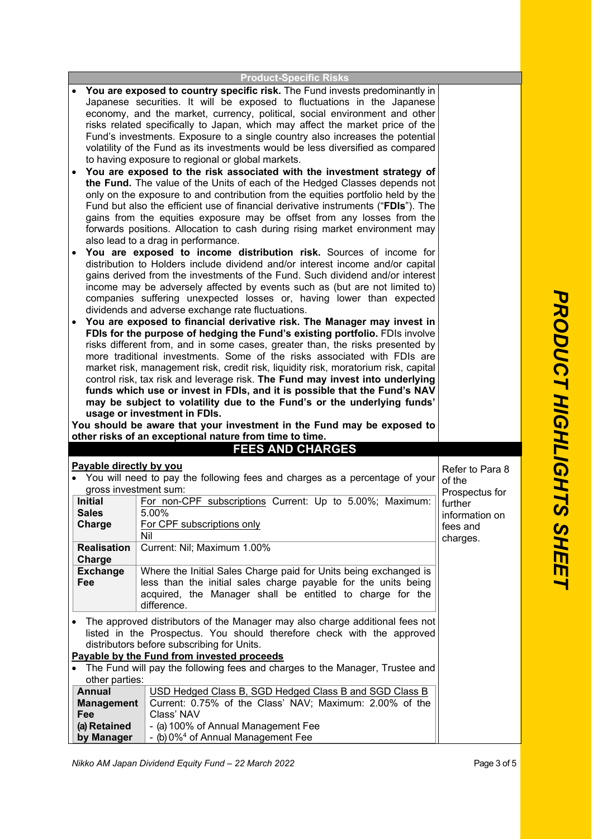| <b>Product-Specific Risks</b>                                           |                                                                                                                            |                 |  |  |  |
|-------------------------------------------------------------------------|----------------------------------------------------------------------------------------------------------------------------|-----------------|--|--|--|
|                                                                         | You are exposed to country specific risk. The Fund invests predominantly in                                                |                 |  |  |  |
|                                                                         | Japanese securities. It will be exposed to fluctuations in the Japanese                                                    |                 |  |  |  |
|                                                                         | economy, and the market, currency, political, social environment and other                                                 |                 |  |  |  |
|                                                                         | risks related specifically to Japan, which may affect the market price of the                                              |                 |  |  |  |
|                                                                         | Fund's investments. Exposure to a single country also increases the potential                                              |                 |  |  |  |
|                                                                         | volatility of the Fund as its investments would be less diversified as compared                                            |                 |  |  |  |
|                                                                         | to having exposure to regional or global markets.                                                                          |                 |  |  |  |
|                                                                         | You are exposed to the risk associated with the investment strategy of                                                     |                 |  |  |  |
|                                                                         | the Fund. The value of the Units of each of the Hedged Classes depends not                                                 |                 |  |  |  |
|                                                                         | only on the exposure to and contribution from the equities portfolio held by the                                           |                 |  |  |  |
|                                                                         | Fund but also the efficient use of financial derivative instruments ("FDIs"). The                                          |                 |  |  |  |
|                                                                         | gains from the equities exposure may be offset from any losses from the                                                    |                 |  |  |  |
|                                                                         | forwards positions. Allocation to cash during rising market environment may                                                |                 |  |  |  |
|                                                                         | also lead to a drag in performance.                                                                                        |                 |  |  |  |
|                                                                         | You are exposed to income distribution risk. Sources of income for                                                         |                 |  |  |  |
|                                                                         | distribution to Holders include dividend and/or interest income and/or capital                                             |                 |  |  |  |
|                                                                         | gains derived from the investments of the Fund. Such dividend and/or interest                                              |                 |  |  |  |
|                                                                         | income may be adversely affected by events such as (but are not limited to)                                                |                 |  |  |  |
|                                                                         | companies suffering unexpected losses or, having lower than expected                                                       |                 |  |  |  |
|                                                                         | dividends and adverse exchange rate fluctuations.                                                                          |                 |  |  |  |
|                                                                         | You are exposed to financial derivative risk. The Manager may invest in                                                    |                 |  |  |  |
|                                                                         | FDIs for the purpose of hedging the Fund's existing portfolio. FDIs involve                                                |                 |  |  |  |
|                                                                         | risks different from, and in some cases, greater than, the risks presented by                                              |                 |  |  |  |
|                                                                         | more traditional investments. Some of the risks associated with FDIs are                                                   |                 |  |  |  |
|                                                                         | market risk, management risk, credit risk, liquidity risk, moratorium risk, capital                                        |                 |  |  |  |
|                                                                         | control risk, tax risk and leverage risk. The Fund may invest into underlying                                              |                 |  |  |  |
|                                                                         | funds which use or invest in FDIs, and it is possible that the Fund's NAV                                                  |                 |  |  |  |
| may be subject to volatility due to the Fund's or the underlying funds' |                                                                                                                            |                 |  |  |  |
|                                                                         |                                                                                                                            |                 |  |  |  |
|                                                                         | usage or investment in FDIs.                                                                                               |                 |  |  |  |
|                                                                         | You should be aware that your investment in the Fund may be exposed to                                                     |                 |  |  |  |
|                                                                         | other risks of an exceptional nature from time to time.                                                                    |                 |  |  |  |
|                                                                         | <b>FEES AND CHARGES</b>                                                                                                    |                 |  |  |  |
| Payable directly by you                                                 |                                                                                                                            | Refer to Para 8 |  |  |  |
|                                                                         | • You will need to pay the following fees and charges as a percentage of your                                              | of the          |  |  |  |
| gross investment sum:                                                   |                                                                                                                            | Prospectus for  |  |  |  |
| <b>Initial</b>                                                          | For non-CPF subscriptions Current: Up to 5.00%; Maximum:                                                                   | further         |  |  |  |
| <b>Sales</b>                                                            | 5.00%                                                                                                                      | information on  |  |  |  |
| Charge                                                                  | For CPF subscriptions only<br>Nil                                                                                          | fees and        |  |  |  |
|                                                                         |                                                                                                                            | charges.        |  |  |  |
| <b>Realisation</b><br>Charge                                            | Current: Nil; Maximum 1.00%                                                                                                |                 |  |  |  |
|                                                                         | Where the Initial Sales Charge paid for Units being exchanged is                                                           |                 |  |  |  |
| <b>Exchange</b><br>Fee                                                  | less than the initial sales charge payable for the units being                                                             |                 |  |  |  |
|                                                                         | acquired, the Manager shall be entitled to charge for the                                                                  |                 |  |  |  |
|                                                                         | difference.                                                                                                                |                 |  |  |  |
|                                                                         |                                                                                                                            |                 |  |  |  |
|                                                                         | The approved distributors of the Manager may also charge additional fees not                                               |                 |  |  |  |
|                                                                         | listed in the Prospectus. You should therefore check with the approved                                                     |                 |  |  |  |
|                                                                         | distributors before subscribing for Units.                                                                                 |                 |  |  |  |
|                                                                         | Payable by the Fund from invested proceeds<br>The Fund will pay the following fees and charges to the Manager, Trustee and |                 |  |  |  |
| other parties:                                                          |                                                                                                                            |                 |  |  |  |
| <b>Annual</b>                                                           | USD Hedged Class B, SGD Hedged Class B and SGD Class B                                                                     |                 |  |  |  |
| <b>Management</b>                                                       | Current: 0.75% of the Class' NAV; Maximum: 2.00% of the                                                                    |                 |  |  |  |
| Fee                                                                     | Class' NAV                                                                                                                 |                 |  |  |  |
| (a) Retained<br>by Manager                                              | - (a) 100% of Annual Management Fee<br>- (b) 0% <sup>4</sup> of Annual Management Fee                                      |                 |  |  |  |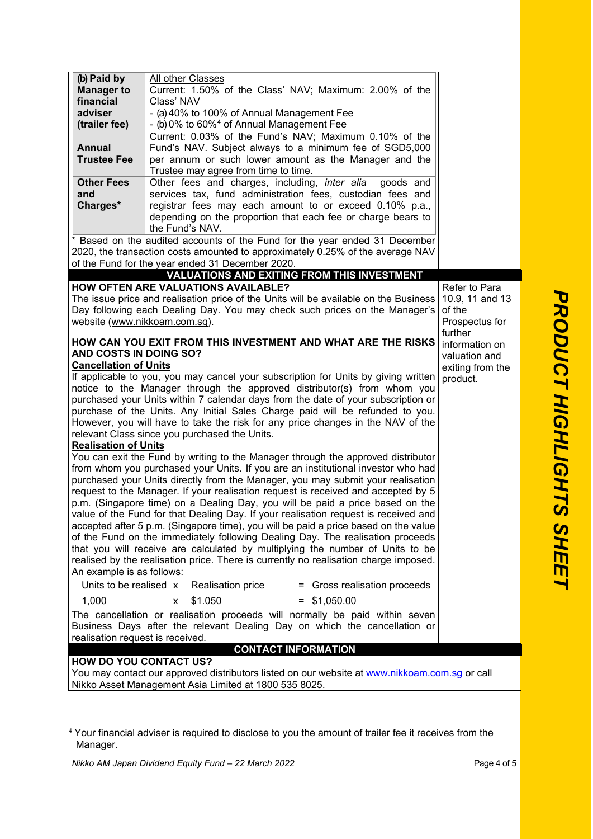| (b) Paid by                      | All other Classes                                                                                                                                             |                  |  |  |  |
|----------------------------------|---------------------------------------------------------------------------------------------------------------------------------------------------------------|------------------|--|--|--|
| <b>Manager to</b>                | Current: 1.50% of the Class' NAV; Maximum: 2.00% of the                                                                                                       |                  |  |  |  |
| financial                        | Class' NAV                                                                                                                                                    |                  |  |  |  |
| adviser                          | - (a) 40% to 100% of Annual Management Fee                                                                                                                    |                  |  |  |  |
| (trailer fee)                    | - (b) 0% to 60% <sup>4</sup> of Annual Management Fee                                                                                                         |                  |  |  |  |
|                                  | Current: 0.03% of the Fund's NAV; Maximum 0.10% of the                                                                                                        |                  |  |  |  |
| <b>Annual</b>                    | Fund's NAV. Subject always to a minimum fee of SGD5,000                                                                                                       |                  |  |  |  |
| <b>Trustee Fee</b>               | per annum or such lower amount as the Manager and the                                                                                                         |                  |  |  |  |
|                                  | Trustee may agree from time to time.                                                                                                                          |                  |  |  |  |
| <b>Other Fees</b>                | Other fees and charges, including, inter alia<br>goods and                                                                                                    |                  |  |  |  |
| and                              | services tax, fund administration fees, custodian fees and                                                                                                    |                  |  |  |  |
| Charges*                         | registrar fees may each amount to or exceed 0.10% p.a.,<br>depending on the proportion that each fee or charge bears to                                       |                  |  |  |  |
|                                  | the Fund's NAV.                                                                                                                                               |                  |  |  |  |
|                                  | * Based on the audited accounts of the Fund for the year ended 31 December                                                                                    |                  |  |  |  |
|                                  | 2020, the transaction costs amounted to approximately 0.25% of the average NAV                                                                                |                  |  |  |  |
|                                  | of the Fund for the year ended 31 December 2020.                                                                                                              |                  |  |  |  |
|                                  | <b>VALUATIONS AND EXITING FROM THIS INVESTMENT</b>                                                                                                            |                  |  |  |  |
|                                  | <b>HOW OFTEN ARE VALUATIONS AVAILABLE?</b>                                                                                                                    | Refer to Para    |  |  |  |
|                                  | The issue price and realisation price of the Units will be available on the Business                                                                          | 10.9, 11 and 13  |  |  |  |
|                                  | Day following each Dealing Day. You may check such prices on the Manager's                                                                                    | of the           |  |  |  |
| website (www.nikkoam.com.sg).    |                                                                                                                                                               | Prospectus for   |  |  |  |
|                                  |                                                                                                                                                               | further          |  |  |  |
|                                  | HOW CAN YOU EXIT FROM THIS INVESTMENT AND WHAT ARE THE RISKS                                                                                                  | information on   |  |  |  |
| AND COSTS IN DOING SO?           |                                                                                                                                                               | valuation and    |  |  |  |
| <b>Cancellation of Units</b>     |                                                                                                                                                               | exiting from the |  |  |  |
|                                  | If applicable to you, you may cancel your subscription for Units by giving written<br>notice to the Manager through the approved distributor(s) from whom you | product.         |  |  |  |
|                                  | purchased your Units within 7 calendar days from the date of your subscription or                                                                             |                  |  |  |  |
|                                  | purchase of the Units. Any Initial Sales Charge paid will be refunded to you.                                                                                 |                  |  |  |  |
|                                  | However, you will have to take the risk for any price changes in the NAV of the                                                                               |                  |  |  |  |
|                                  | relevant Class since you purchased the Units.                                                                                                                 |                  |  |  |  |
| <b>Realisation of Units</b>      |                                                                                                                                                               |                  |  |  |  |
|                                  | You can exit the Fund by writing to the Manager through the approved distributor                                                                              |                  |  |  |  |
|                                  | from whom you purchased your Units. If you are an institutional investor who had                                                                              |                  |  |  |  |
|                                  | purchased your Units directly from the Manager, you may submit your realisation                                                                               |                  |  |  |  |
|                                  | request to the Manager. If your realisation request is received and accepted by 5                                                                             |                  |  |  |  |
|                                  | p.m. (Singapore time) on a Dealing Day, you will be paid a price based on the                                                                                 |                  |  |  |  |
|                                  | value of the Fund for that Dealing Day. If your realisation request is received and                                                                           |                  |  |  |  |
|                                  | accepted after 5 p.m. (Singapore time), you will be paid a price based on the value                                                                           |                  |  |  |  |
|                                  | of the Fund on the immediately following Dealing Day. The realisation proceeds                                                                                |                  |  |  |  |
|                                  | that you will receive are calculated by multiplying the number of Units to be                                                                                 |                  |  |  |  |
|                                  | realised by the realisation price. There is currently no realisation charge imposed.                                                                          |                  |  |  |  |
| An example is as follows:        |                                                                                                                                                               |                  |  |  |  |
| Units to be realised x           | <b>Realisation price</b><br>= Gross realisation proceeds                                                                                                      |                  |  |  |  |
| 1,000                            | \$1.050<br>$=$ \$1,050.00<br>x                                                                                                                                |                  |  |  |  |
|                                  | The cancellation or realisation proceeds will normally be paid within seven                                                                                   |                  |  |  |  |
|                                  | Business Days after the relevant Dealing Day on which the cancellation or                                                                                     |                  |  |  |  |
| realisation request is received. |                                                                                                                                                               |                  |  |  |  |
|                                  | <b>CONTACT INFORMATION</b>                                                                                                                                    |                  |  |  |  |
| <b>HOW DO YOU CONTACT US?</b>    |                                                                                                                                                               |                  |  |  |  |

You may contact our approved distributors listed on our website at <u>www.nikkoam.com.sg</u> or call Nikko Asset Management Asia Limited at 1800 535 8025.

<span id="page-3-0"></span><sup>&</sup>lt;sup>4</sup> Your financial adviser is required to disclose to you the amount of trailer fee it receives from the Manager.